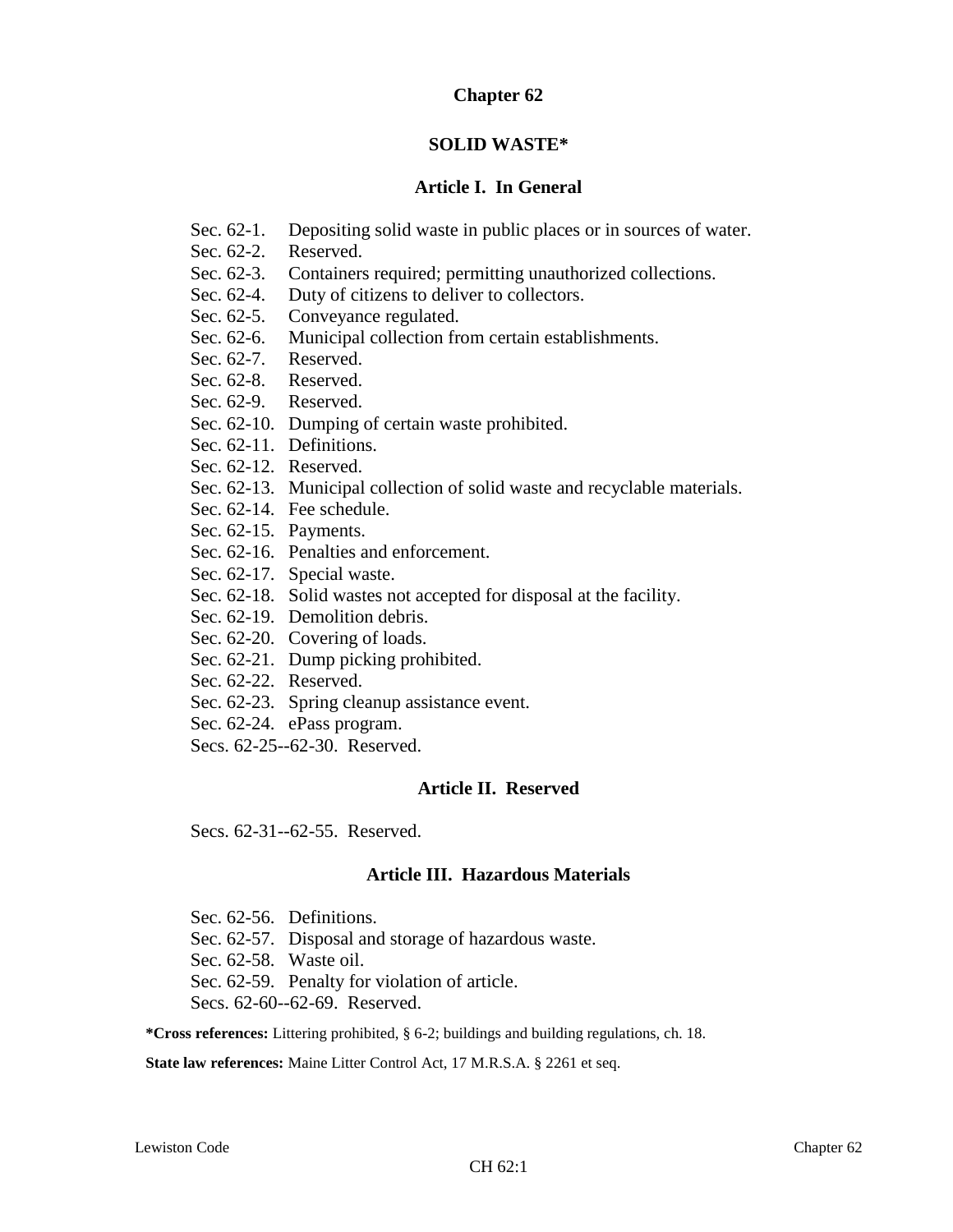# **Chapter 62**

# **SOLID WASTE\***

# **Article I. In General**

- Sec. 62-1. Depositing solid waste in public places or in sources of water.
- Sec. 62-2. Reserved.
- Sec. 62-3. Containers required; permitting unauthorized collections.
- Sec. 62-4. Duty of citizens to deliver to collectors.
- Sec. 62-5. Conveyance regulated.
- Sec. 62-6. Municipal collection from certain establishments.
- Sec. 62-7. Reserved.
- Sec. 62-8. Reserved.
- Sec. 62-9. Reserved.
- Sec. 62-10. Dumping of certain waste prohibited.
- Sec. 62-11. Definitions.
- Sec. 62-12. Reserved.
- Sec. 62-13. Municipal collection of solid waste and recyclable materials.
- Sec. 62-14. Fee schedule.
- Sec. 62-15. Payments.
- Sec. 62-16. Penalties and enforcement.
- Sec. 62-17. Special waste.
- Sec. 62-18. Solid wastes not accepted for disposal at the facility.
- Sec. 62-19. Demolition debris.
- Sec. 62-20. Covering of loads.
- Sec. 62-21. Dump picking prohibited.
- Sec. 62-22. Reserved.
- Sec. 62-23. Spring cleanup assistance event.
- Sec. 62-24. ePass program.
- Secs. 62-25--62-30. Reserved.

# **Article II. Reserved**

Secs. 62-31--62-55. Reserved.

# **Article III. Hazardous Materials**

- Sec. 62-56. Definitions.
- Sec. 62-57. Disposal and storage of hazardous waste.
- Sec. 62-58. Waste oil.
- Sec. 62-59. Penalty for violation of article.

Secs. 62-60--62-69. Reserved.

**\*Cross references:** Littering prohibited, § 6-2; buildings and building regulations, ch. 18.

**State law references:** Maine Litter Control Act, 17 M.R.S.A. § 2261 et seq.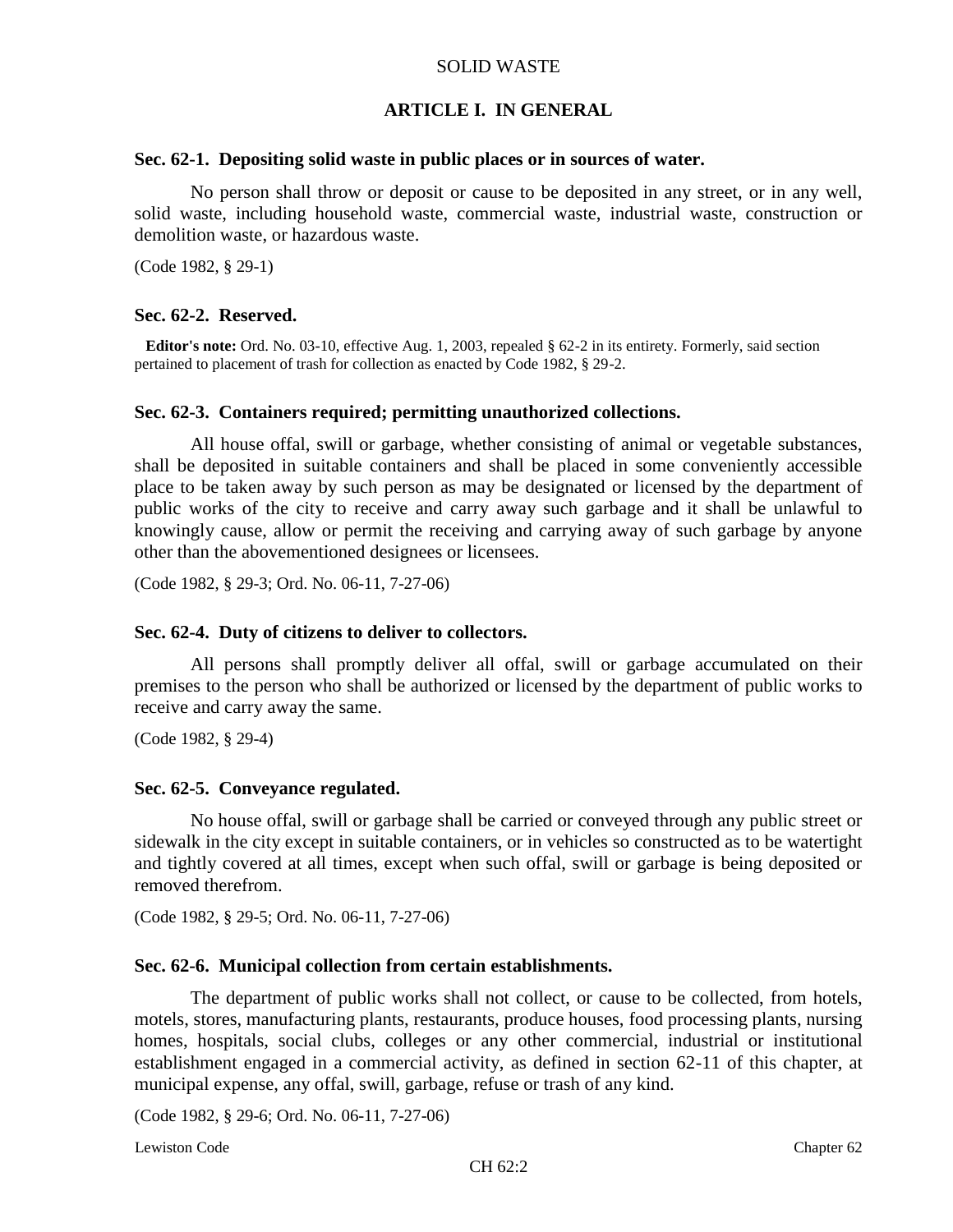## **ARTICLE I. IN GENERAL**

#### **Sec. 62-1. Depositing solid waste in public places or in sources of water.**

No person shall throw or deposit or cause to be deposited in any street, or in any well, solid waste, including household waste, commercial waste, industrial waste, construction or demolition waste, or hazardous waste.

(Code 1982, § 29-1)

### **Sec. 62-2. Reserved.**

**Editor's note:** Ord. No. 03-10, effective Aug. 1, 2003, repealed § 62-2 in its entirety. Formerly, said section pertained to placement of trash for collection as enacted by Code 1982, § 29-2.

#### **Sec. 62-3. Containers required; permitting unauthorized collections.**

All house offal, swill or garbage, whether consisting of animal or vegetable substances, shall be deposited in suitable containers and shall be placed in some conveniently accessible place to be taken away by such person as may be designated or licensed by the department of public works of the city to receive and carry away such garbage and it shall be unlawful to knowingly cause, allow or permit the receiving and carrying away of such garbage by anyone other than the abovementioned designees or licensees.

(Code 1982, § 29-3; Ord. No. 06-11, 7-27-06)

### **Sec. 62-4. Duty of citizens to deliver to collectors.**

All persons shall promptly deliver all offal, swill or garbage accumulated on their premises to the person who shall be authorized or licensed by the department of public works to receive and carry away the same.

(Code 1982, § 29-4)

### **Sec. 62-5. Conveyance regulated.**

No house offal, swill or garbage shall be carried or conveyed through any public street or sidewalk in the city except in suitable containers, or in vehicles so constructed as to be watertight and tightly covered at all times, except when such offal, swill or garbage is being deposited or removed therefrom.

(Code 1982, § 29-5; Ord. No. 06-11, 7-27-06)

#### **Sec. 62-6. Municipal collection from certain establishments.**

The department of public works shall not collect, or cause to be collected, from hotels, motels, stores, manufacturing plants, restaurants, produce houses, food processing plants, nursing homes, hospitals, social clubs, colleges or any other commercial, industrial or institutional establishment engaged in a commercial activity, as defined in section 62-11 of this chapter, at municipal expense, any offal, swill, garbage, refuse or trash of any kind.

(Code 1982, § 29-6; Ord. No. 06-11, 7-27-06)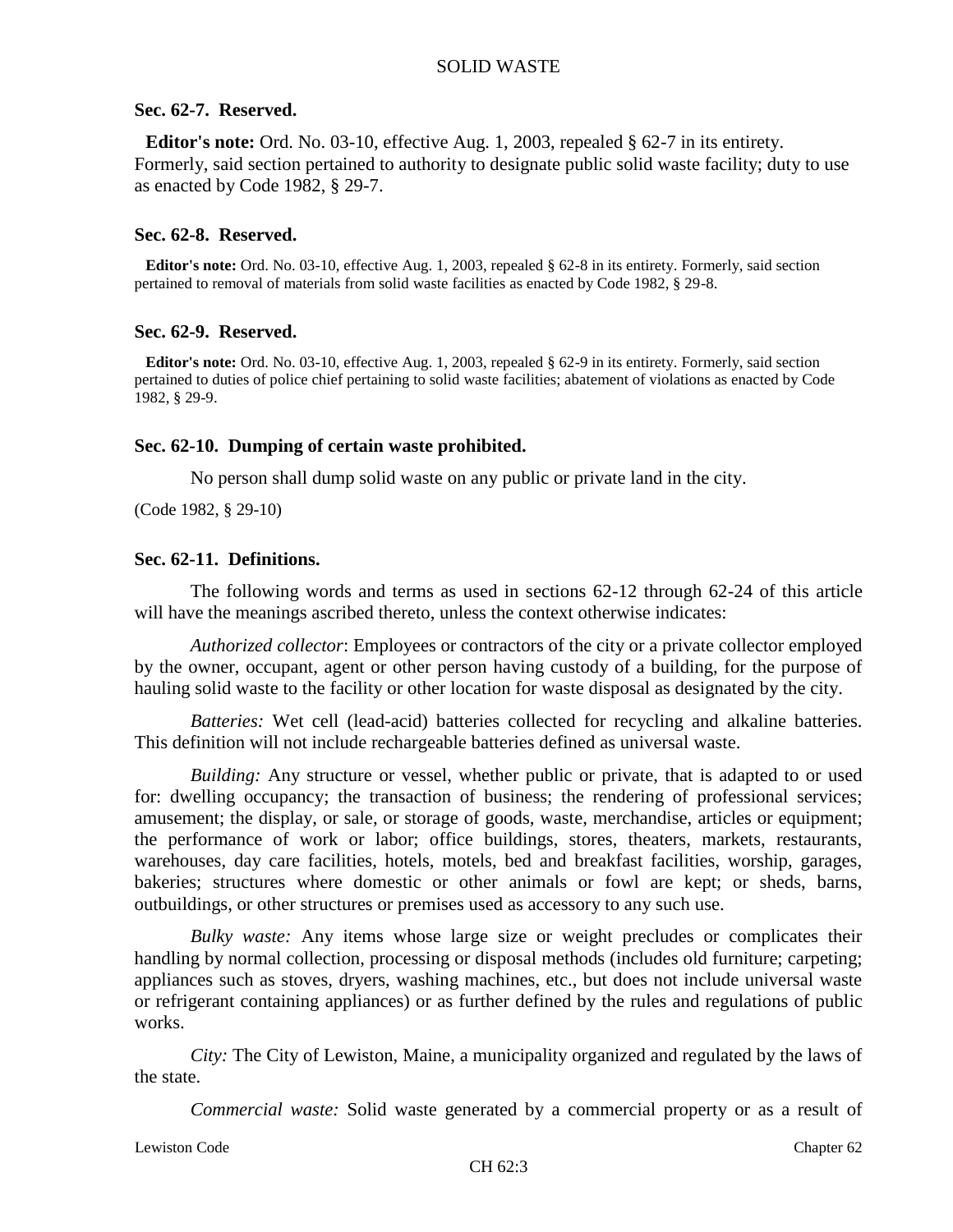### **Sec. 62-7. Reserved.**

**Editor's note:** Ord. No. 03-10, effective Aug. 1, 2003, repealed § 62-7 in its entirety. Formerly, said section pertained to authority to designate public solid waste facility; duty to use as enacted by Code 1982, § 29-7.

### **Sec. 62-8. Reserved.**

**Editor's note:** Ord. No. 03-10, effective Aug. 1, 2003, repealed § 62-8 in its entirety. Formerly, said section pertained to removal of materials from solid waste facilities as enacted by Code 1982, § 29-8.

### **Sec. 62-9. Reserved.**

**Editor's note:** Ord. No. 03-10, effective Aug. 1, 2003, repealed § 62-9 in its entirety. Formerly, said section pertained to duties of police chief pertaining to solid waste facilities; abatement of violations as enacted by Code 1982, § 29-9.

### **Sec. 62-10. Dumping of certain waste prohibited.**

No person shall dump solid waste on any public or private land in the city.

(Code 1982, § 29-10)

#### **Sec. 62-11. Definitions.**

The following words and terms as used in sections 62-12 through 62-24 of this article will have the meanings ascribed thereto, unless the context otherwise indicates:

*Authorized collector*: Employees or contractors of the city or a private collector employed by the owner, occupant, agent or other person having custody of a building, for the purpose of hauling solid waste to the facility or other location for waste disposal as designated by the city.

*Batteries:* Wet cell (lead-acid) batteries collected for recycling and alkaline batteries. This definition will not include rechargeable batteries defined as universal waste.

*Building:* Any structure or vessel, whether public or private, that is adapted to or used for: dwelling occupancy; the transaction of business; the rendering of professional services; amusement; the display, or sale, or storage of goods, waste, merchandise, articles or equipment; the performance of work or labor; office buildings, stores, theaters, markets, restaurants, warehouses, day care facilities, hotels, motels, bed and breakfast facilities, worship, garages, bakeries; structures where domestic or other animals or fowl are kept; or sheds, barns, outbuildings, or other structures or premises used as accessory to any such use.

*Bulky waste:* Any items whose large size or weight precludes or complicates their handling by normal collection, processing or disposal methods (includes old furniture; carpeting; appliances such as stoves, dryers, washing machines, etc., but does not include universal waste or refrigerant containing appliances) or as further defined by the rules and regulations of public works.

*City:* The City of Lewiston, Maine, a municipality organized and regulated by the laws of the state.

*Commercial waste:* Solid waste generated by a commercial property or as a result of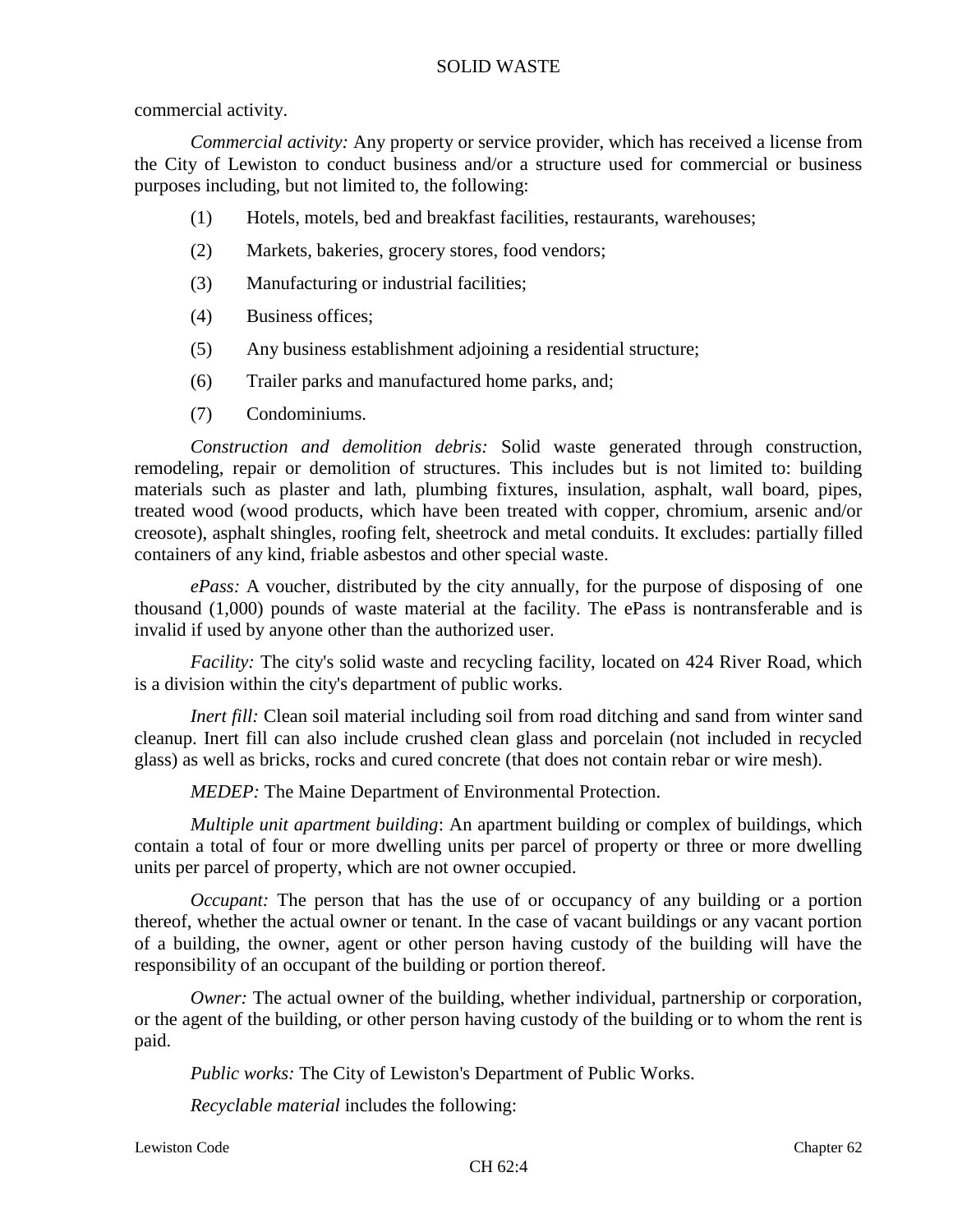### commercial activity.

*Commercial activity:* Any property or service provider, which has received a license from the City of Lewiston to conduct business and/or a structure used for commercial or business purposes including, but not limited to, the following:

- (1) Hotels, motels, bed and breakfast facilities, restaurants, warehouses;
- (2) Markets, bakeries, grocery stores, food vendors;
- (3) Manufacturing or industrial facilities;
- (4) Business offices;
- (5) Any business establishment adjoining a residential structure;
- (6) Trailer parks and manufactured home parks, and;
- (7) Condominiums.

*Construction and demolition debris:* Solid waste generated through construction, remodeling, repair or demolition of structures. This includes but is not limited to: building materials such as plaster and lath, plumbing fixtures, insulation, asphalt, wall board, pipes, treated wood (wood products, which have been treated with copper, chromium, arsenic and/or creosote), asphalt shingles, roofing felt, sheetrock and metal conduits. It excludes: partially filled containers of any kind, friable asbestos and other special waste.

*ePass:* A voucher, distributed by the city annually, for the purpose of disposing of one thousand (1,000) pounds of waste material at the facility. The ePass is nontransferable and is invalid if used by anyone other than the authorized user.

*Facility:* The city's solid waste and recycling facility, located on 424 River Road, which is a division within the city's department of public works.

*Inert fill:* Clean soil material including soil from road ditching and sand from winter sand cleanup. Inert fill can also include crushed clean glass and porcelain (not included in recycled glass) as well as bricks, rocks and cured concrete (that does not contain rebar or wire mesh).

*MEDEP:* The Maine Department of Environmental Protection.

*Multiple unit apartment building*: An apartment building or complex of buildings, which contain a total of four or more dwelling units per parcel of property or three or more dwelling units per parcel of property, which are not owner occupied.

*Occupant:* The person that has the use of or occupancy of any building or a portion thereof, whether the actual owner or tenant. In the case of vacant buildings or any vacant portion of a building, the owner, agent or other person having custody of the building will have the responsibility of an occupant of the building or portion thereof.

*Owner:* The actual owner of the building, whether individual, partnership or corporation, or the agent of the building, or other person having custody of the building or to whom the rent is paid.

*Public works:* The City of Lewiston's Department of Public Works.

*Recyclable material* includes the following: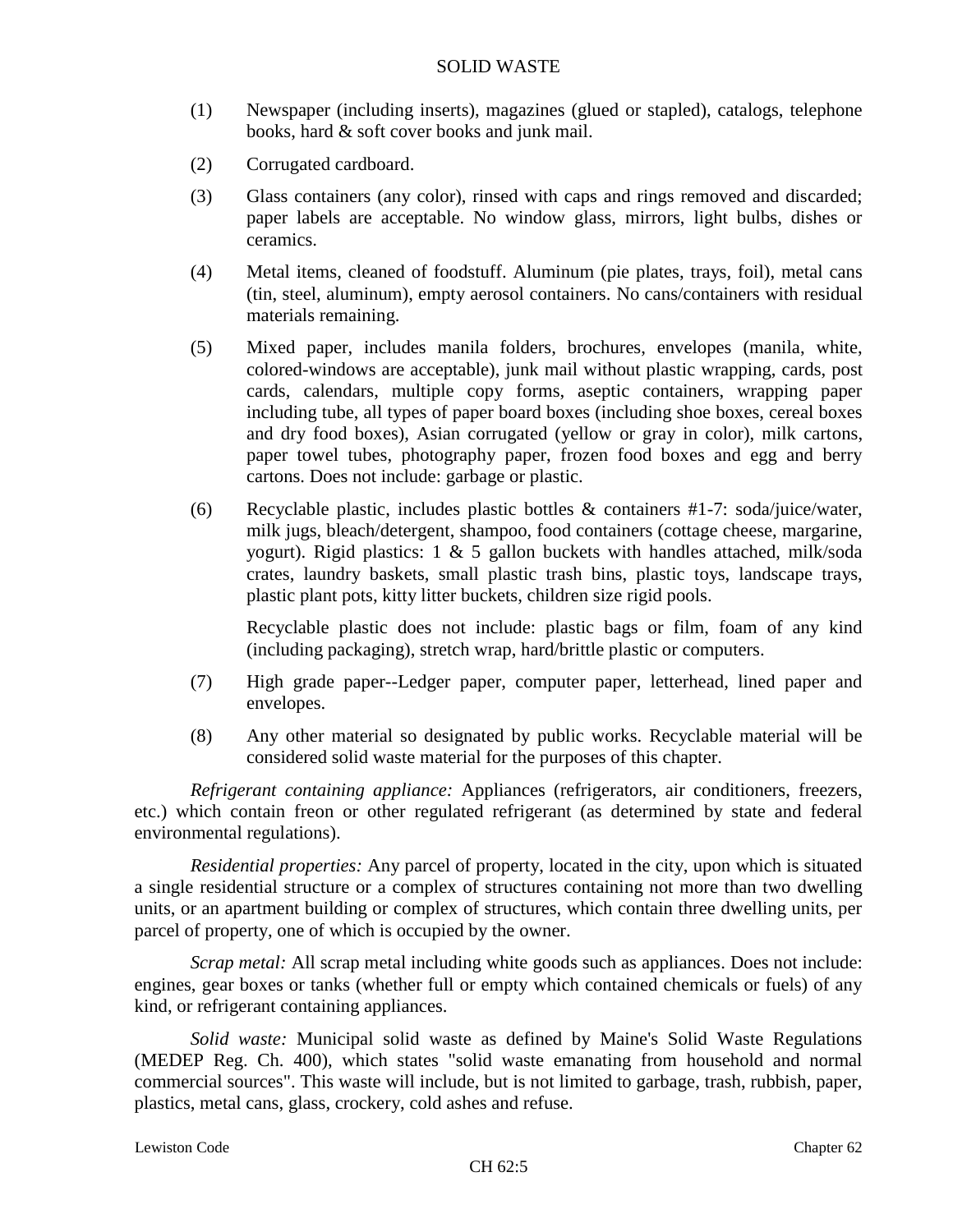- (1) Newspaper (including inserts), magazines (glued or stapled), catalogs, telephone books, hard & soft cover books and junk mail.
- (2) Corrugated cardboard.
- (3) Glass containers (any color), rinsed with caps and rings removed and discarded; paper labels are acceptable. No window glass, mirrors, light bulbs, dishes or ceramics.
- (4) Metal items, cleaned of foodstuff. Aluminum (pie plates, trays, foil), metal cans (tin, steel, aluminum), empty aerosol containers. No cans/containers with residual materials remaining.
- (5) Mixed paper, includes manila folders, brochures, envelopes (manila, white, colored-windows are acceptable), junk mail without plastic wrapping, cards, post cards, calendars, multiple copy forms, aseptic containers, wrapping paper including tube, all types of paper board boxes (including shoe boxes, cereal boxes and dry food boxes), Asian corrugated (yellow or gray in color), milk cartons, paper towel tubes, photography paper, frozen food boxes and egg and berry cartons. Does not include: garbage or plastic.
- (6) Recyclable plastic, includes plastic bottles & containers #1-7: soda/juice/water, milk jugs, bleach/detergent, shampoo, food containers (cottage cheese, margarine, yogurt). Rigid plastics: 1 & 5 gallon buckets with handles attached, milk/soda crates, laundry baskets, small plastic trash bins, plastic toys, landscape trays, plastic plant pots, kitty litter buckets, children size rigid pools.

Recyclable plastic does not include: plastic bags or film, foam of any kind (including packaging), stretch wrap, hard/brittle plastic or computers.

- (7) High grade paper--Ledger paper, computer paper, letterhead, lined paper and envelopes.
- (8) Any other material so designated by public works. Recyclable material will be considered solid waste material for the purposes of this chapter.

*Refrigerant containing appliance:* Appliances (refrigerators, air conditioners, freezers, etc.) which contain freon or other regulated refrigerant (as determined by state and federal environmental regulations).

*Residential properties:* Any parcel of property, located in the city, upon which is situated a single residential structure or a complex of structures containing not more than two dwelling units, or an apartment building or complex of structures, which contain three dwelling units, per parcel of property, one of which is occupied by the owner.

*Scrap metal:* All scrap metal including white goods such as appliances. Does not include: engines, gear boxes or tanks (whether full or empty which contained chemicals or fuels) of any kind, or refrigerant containing appliances.

*Solid waste:* Municipal solid waste as defined by Maine's Solid Waste Regulations (MEDEP Reg. Ch. 400), which states "solid waste emanating from household and normal commercial sources". This waste will include, but is not limited to garbage, trash, rubbish, paper, plastics, metal cans, glass, crockery, cold ashes and refuse.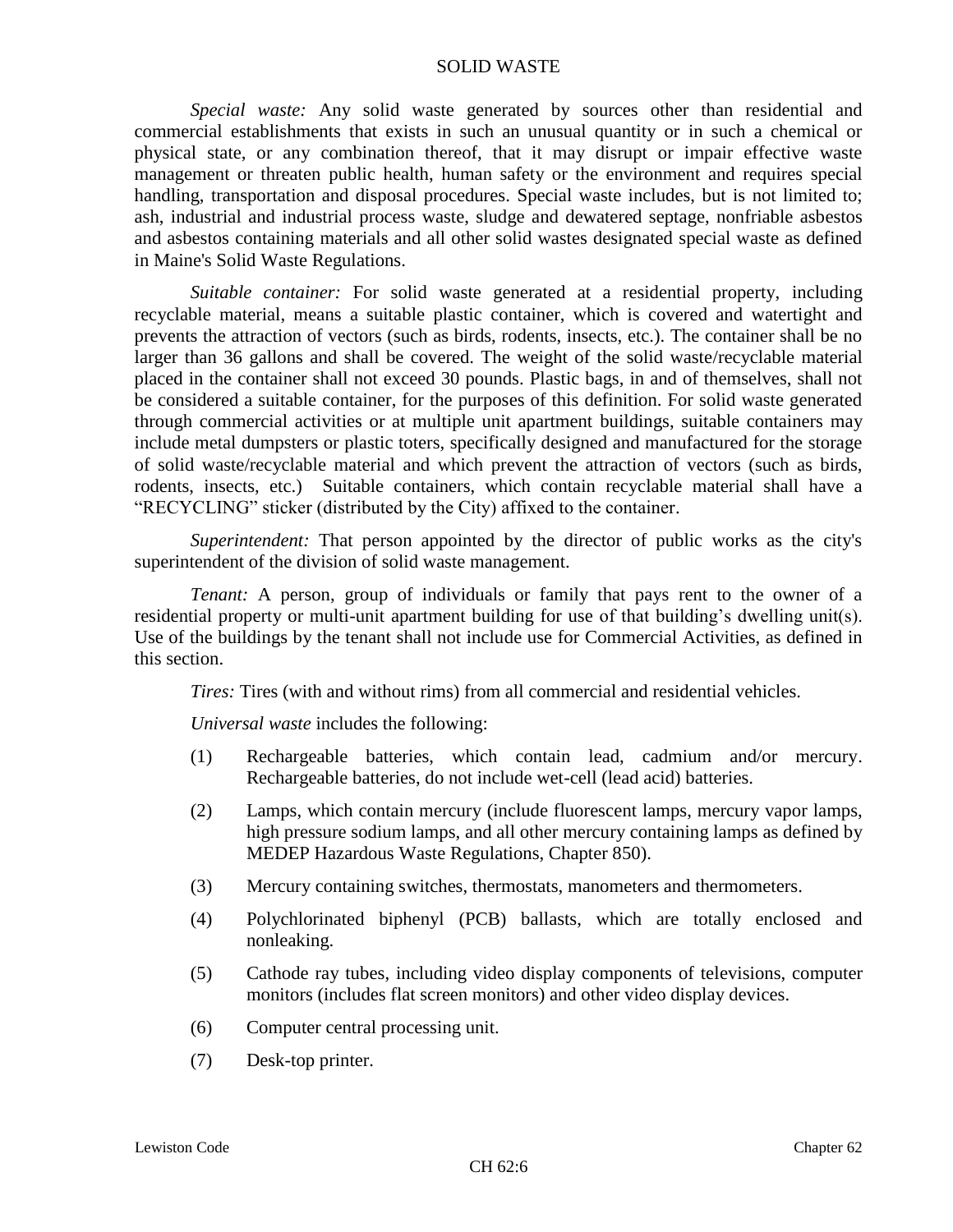*Special waste:* Any solid waste generated by sources other than residential and commercial establishments that exists in such an unusual quantity or in such a chemical or physical state, or any combination thereof, that it may disrupt or impair effective waste management or threaten public health, human safety or the environment and requires special handling, transportation and disposal procedures. Special waste includes, but is not limited to; ash, industrial and industrial process waste, sludge and dewatered septage, nonfriable asbestos and asbestos containing materials and all other solid wastes designated special waste as defined in Maine's Solid Waste Regulations.

*Suitable container:* For solid waste generated at a residential property, including recyclable material, means a suitable plastic container, which is covered and watertight and prevents the attraction of vectors (such as birds, rodents, insects, etc.). The container shall be no larger than 36 gallons and shall be covered. The weight of the solid waste/recyclable material placed in the container shall not exceed 30 pounds. Plastic bags, in and of themselves, shall not be considered a suitable container, for the purposes of this definition. For solid waste generated through commercial activities or at multiple unit apartment buildings, suitable containers may include metal dumpsters or plastic toters, specifically designed and manufactured for the storage of solid waste/recyclable material and which prevent the attraction of vectors (such as birds, rodents, insects, etc.) Suitable containers, which contain recyclable material shall have a "RECYCLING" sticker (distributed by the City) affixed to the container.

*Superintendent:* That person appointed by the director of public works as the city's superintendent of the division of solid waste management.

*Tenant:* A person, group of individuals or family that pays rent to the owner of a residential property or multi-unit apartment building for use of that building's dwelling unit(s). Use of the buildings by the tenant shall not include use for Commercial Activities, as defined in this section.

*Tires:* Tires (with and without rims) from all commercial and residential vehicles.

*Universal waste* includes the following:

- (1) Rechargeable batteries, which contain lead, cadmium and/or mercury. Rechargeable batteries, do not include wet-cell (lead acid) batteries.
- (2) Lamps, which contain mercury (include fluorescent lamps, mercury vapor lamps, high pressure sodium lamps, and all other mercury containing lamps as defined by MEDEP Hazardous Waste Regulations, Chapter 850).
- (3) Mercury containing switches, thermostats, manometers and thermometers.
- (4) Polychlorinated biphenyl (PCB) ballasts, which are totally enclosed and nonleaking.
- (5) Cathode ray tubes, including video display components of televisions, computer monitors (includes flat screen monitors) and other video display devices.
- (6) Computer central processing unit.
- (7) Desk-top printer.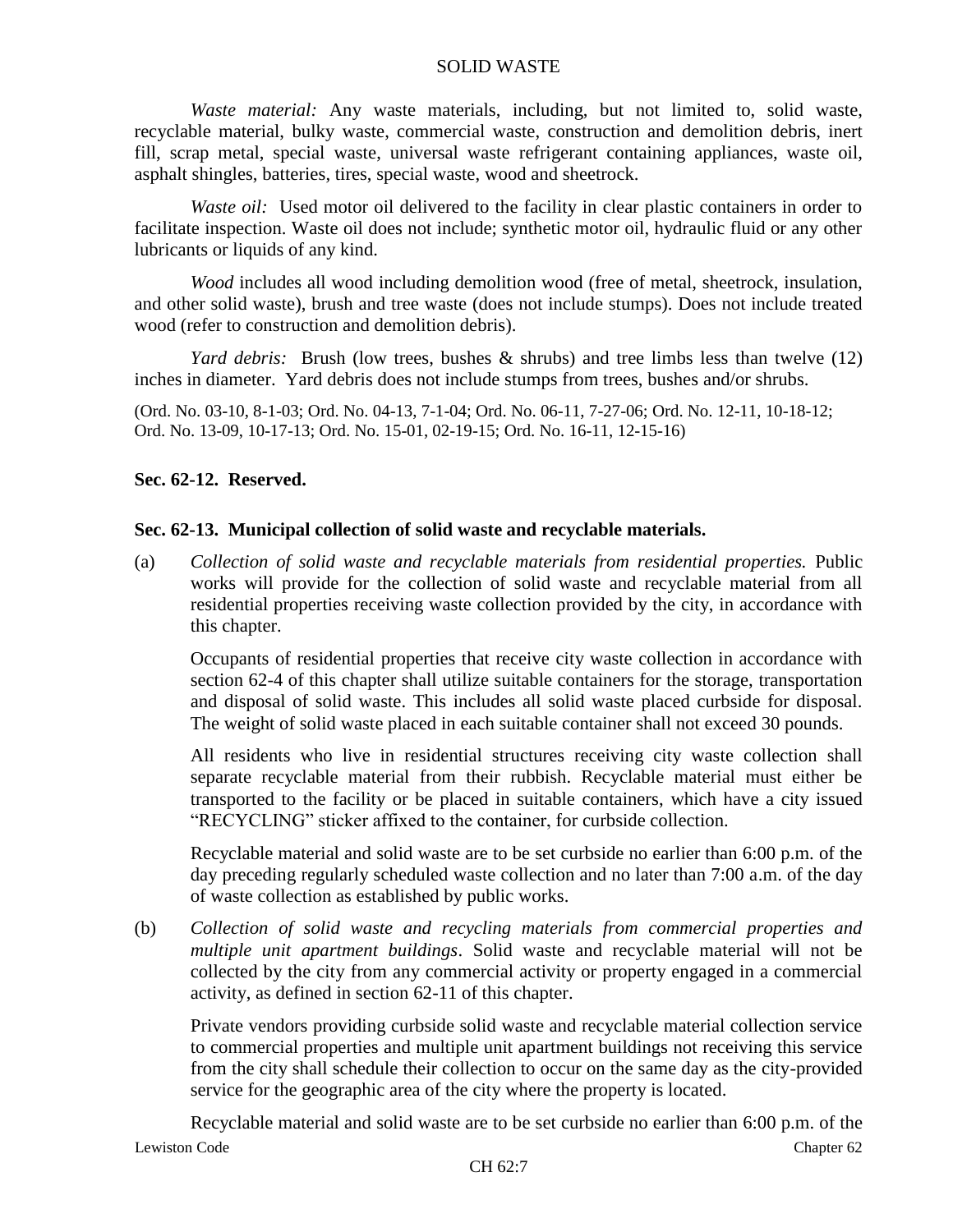*Waste material:* Any waste materials, including, but not limited to, solid waste, recyclable material, bulky waste, commercial waste, construction and demolition debris, inert fill, scrap metal, special waste, universal waste refrigerant containing appliances, waste oil, asphalt shingles, batteries, tires, special waste, wood and sheetrock.

*Waste oil:* Used motor oil delivered to the facility in clear plastic containers in order to facilitate inspection. Waste oil does not include; synthetic motor oil, hydraulic fluid or any other lubricants or liquids of any kind.

*Wood* includes all wood including demolition wood (free of metal, sheetrock, insulation, and other solid waste), brush and tree waste (does not include stumps). Does not include treated wood (refer to construction and demolition debris).

*Yard debris:* Brush (low trees, bushes & shrubs) and tree limbs less than twelve (12) inches in diameter. Yard debris does not include stumps from trees, bushes and/or shrubs.

(Ord. No. 03-10, 8-1-03; Ord. No. 04-13, 7-1-04; Ord. No. 06-11, 7-27-06; Ord. No. 12-11, 10-18-12; Ord. No. 13-09, 10-17-13; Ord. No. 15-01, 02-19-15; Ord. No. 16-11, 12-15-16)

# **Sec. 62-12. Reserved.**

## **Sec. 62-13. Municipal collection of solid waste and recyclable materials.**

(a) *Collection of solid waste and recyclable materials from residential properties.* Public works will provide for the collection of solid waste and recyclable material from all residential properties receiving waste collection provided by the city, in accordance with this chapter.

Occupants of residential properties that receive city waste collection in accordance with section 62-4 of this chapter shall utilize suitable containers for the storage, transportation and disposal of solid waste. This includes all solid waste placed curbside for disposal. The weight of solid waste placed in each suitable container shall not exceed 30 pounds.

All residents who live in residential structures receiving city waste collection shall separate recyclable material from their rubbish. Recyclable material must either be transported to the facility or be placed in suitable containers, which have a city issued "RECYCLING" sticker affixed to the container, for curbside collection.

Recyclable material and solid waste are to be set curbside no earlier than 6:00 p.m. of the day preceding regularly scheduled waste collection and no later than 7:00 a.m. of the day of waste collection as established by public works.

(b) *Collection of solid waste and recycling materials from commercial properties and multiple unit apartment buildings*. Solid waste and recyclable material will not be collected by the city from any commercial activity or property engaged in a commercial activity, as defined in section 62-11 of this chapter.

Private vendors providing curbside solid waste and recyclable material collection service to commercial properties and multiple unit apartment buildings not receiving this service from the city shall schedule their collection to occur on the same day as the city-provided service for the geographic area of the city where the property is located.

Lewiston Code Chapter 62 Recyclable material and solid waste are to be set curbside no earlier than 6:00 p.m. of the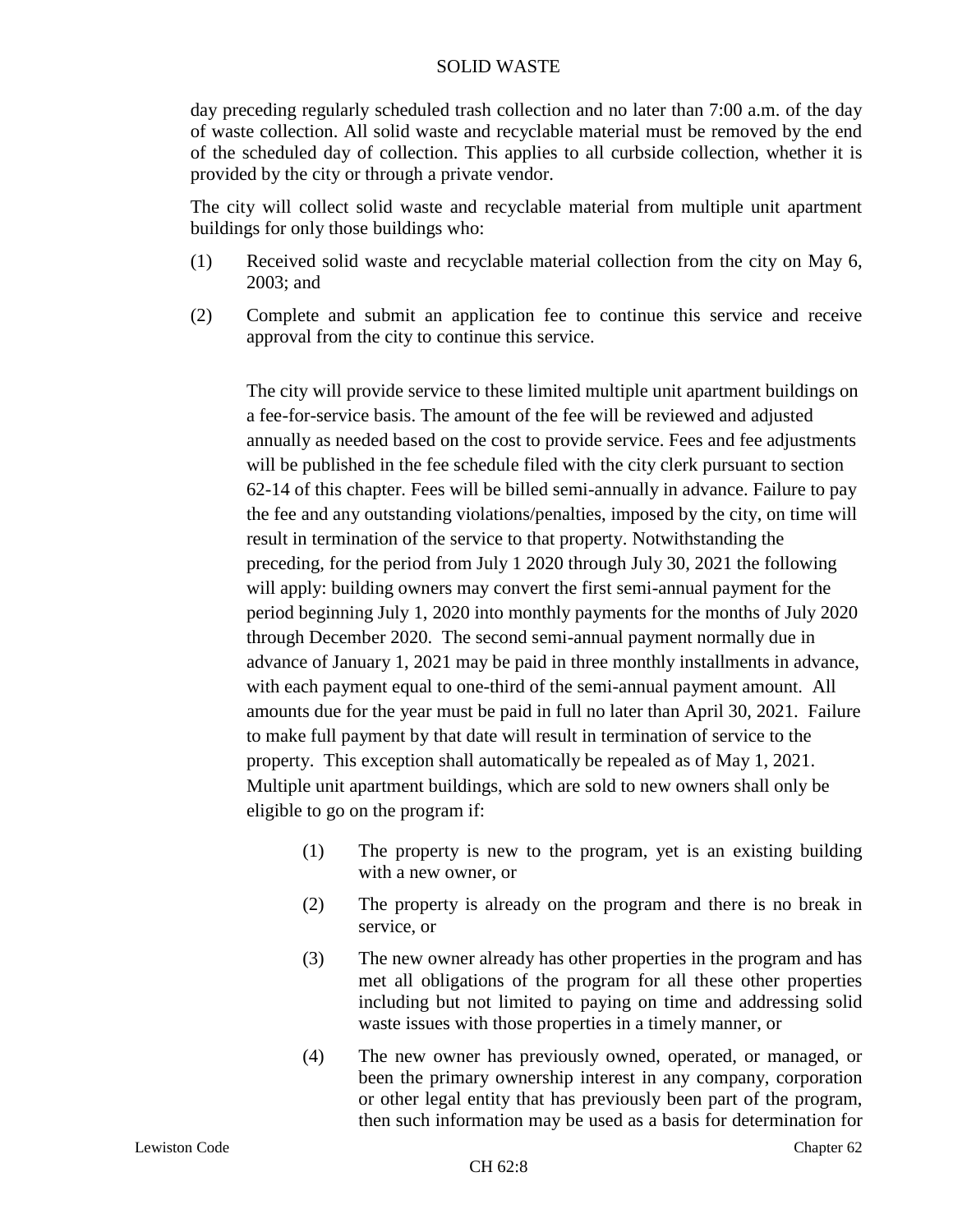day preceding regularly scheduled trash collection and no later than 7:00 a.m. of the day of waste collection. All solid waste and recyclable material must be removed by the end of the scheduled day of collection. This applies to all curbside collection, whether it is provided by the city or through a private vendor.

The city will collect solid waste and recyclable material from multiple unit apartment buildings for only those buildings who:

- (1) Received solid waste and recyclable material collection from the city on May 6, 2003; and
- (2) Complete and submit an application fee to continue this service and receive approval from the city to continue this service.

The city will provide service to these limited multiple unit apartment buildings on a fee-for-service basis. The amount of the fee will be reviewed and adjusted annually as needed based on the cost to provide service. Fees and fee adjustments will be published in the fee schedule filed with the city clerk pursuant to section 62-14 of this chapter. Fees will be billed semi-annually in advance. Failure to pay the fee and any outstanding violations/penalties, imposed by the city, on time will result in termination of the service to that property. Notwithstanding the preceding, for the period from July 1 2020 through July 30, 2021 the following will apply: building owners may convert the first semi-annual payment for the period beginning July 1, 2020 into monthly payments for the months of July 2020 through December 2020. The second semi-annual payment normally due in advance of January 1, 2021 may be paid in three monthly installments in advance, with each payment equal to one-third of the semi-annual payment amount. All amounts due for the year must be paid in full no later than April 30, 2021. Failure to make full payment by that date will result in termination of service to the property. This exception shall automatically be repealed as of May 1, 2021. Multiple unit apartment buildings, which are sold to new owners shall only be eligible to go on the program if:

- (1) The property is new to the program, yet is an existing building with a new owner, or
- (2) The property is already on the program and there is no break in service, or
- (3) The new owner already has other properties in the program and has met all obligations of the program for all these other properties including but not limited to paying on time and addressing solid waste issues with those properties in a timely manner, or
- (4) The new owner has previously owned, operated, or managed, or been the primary ownership interest in any company, corporation or other legal entity that has previously been part of the program, then such information may be used as a basis for determination for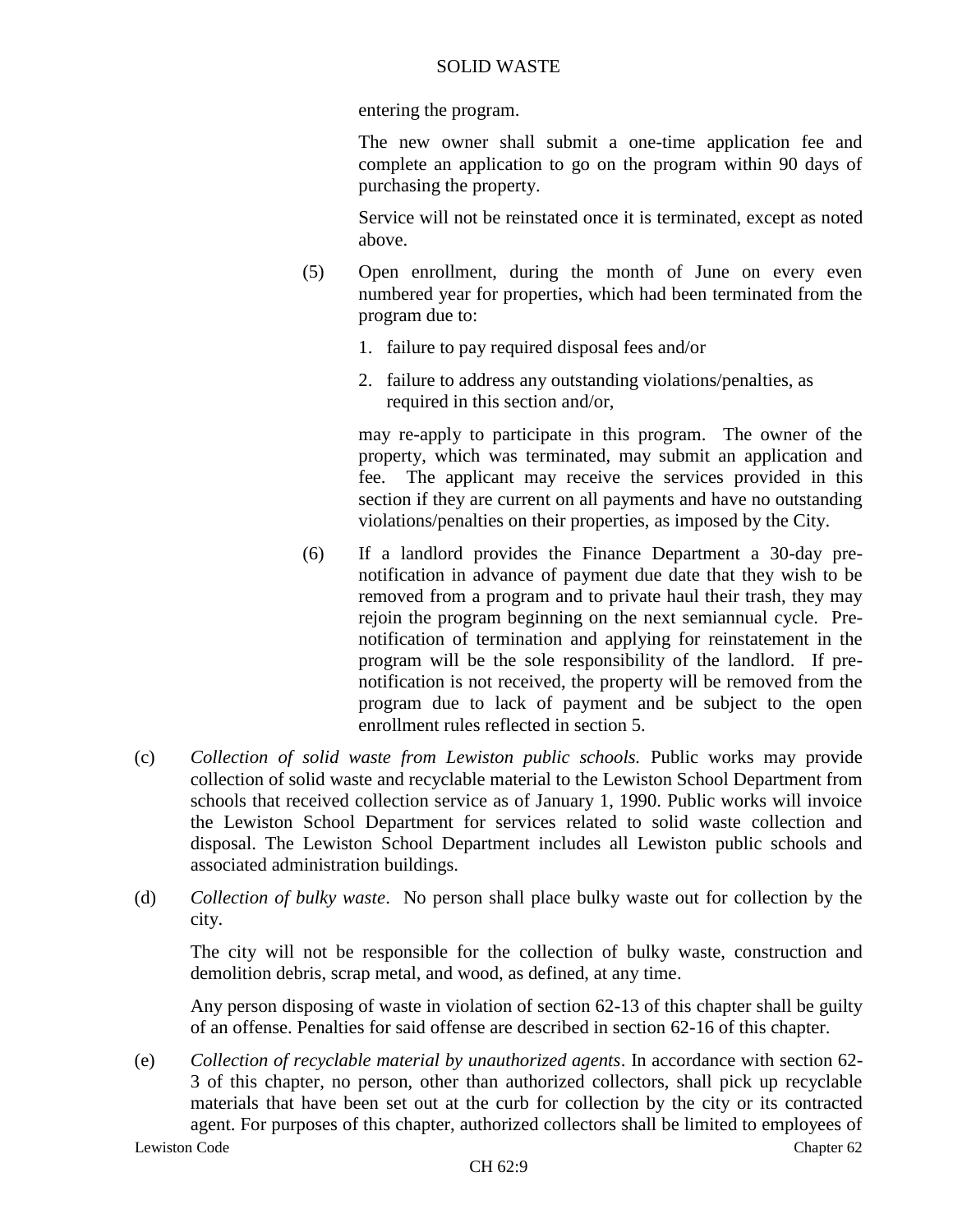entering the program.

The new owner shall submit a one-time application fee and complete an application to go on the program within 90 days of purchasing the property.

Service will not be reinstated once it is terminated, except as noted above.

- (5) Open enrollment, during the month of June on every even numbered year for properties, which had been terminated from the program due to:
	- 1. failure to pay required disposal fees and/or
	- 2. failure to address any outstanding violations/penalties, as required in this section and/or,

may re-apply to participate in this program. The owner of the property, which was terminated, may submit an application and fee. The applicant may receive the services provided in this section if they are current on all payments and have no outstanding violations/penalties on their properties, as imposed by the City.

- (6) If a landlord provides the Finance Department a 30-day prenotification in advance of payment due date that they wish to be removed from a program and to private haul their trash, they may rejoin the program beginning on the next semiannual cycle. Prenotification of termination and applying for reinstatement in the program will be the sole responsibility of the landlord. If prenotification is not received, the property will be removed from the program due to lack of payment and be subject to the open enrollment rules reflected in section 5.
- (c) *Collection of solid waste from Lewiston public schools.* Public works may provide collection of solid waste and recyclable material to the Lewiston School Department from schools that received collection service as of January 1, 1990. Public works will invoice the Lewiston School Department for services related to solid waste collection and disposal. The Lewiston School Department includes all Lewiston public schools and associated administration buildings.
- (d) *Collection of bulky waste*. No person shall place bulky waste out for collection by the city.

The city will not be responsible for the collection of bulky waste, construction and demolition debris, scrap metal, and wood, as defined, at any time.

Any person disposing of waste in violation of section 62-13 of this chapter shall be guilty of an offense. Penalties for said offense are described in section 62-16 of this chapter.

Lewiston Code Chapter 62 (e) *Collection of recyclable material by unauthorized agents*. In accordance with section 62- 3 of this chapter, no person, other than authorized collectors, shall pick up recyclable materials that have been set out at the curb for collection by the city or its contracted agent. For purposes of this chapter, authorized collectors shall be limited to employees of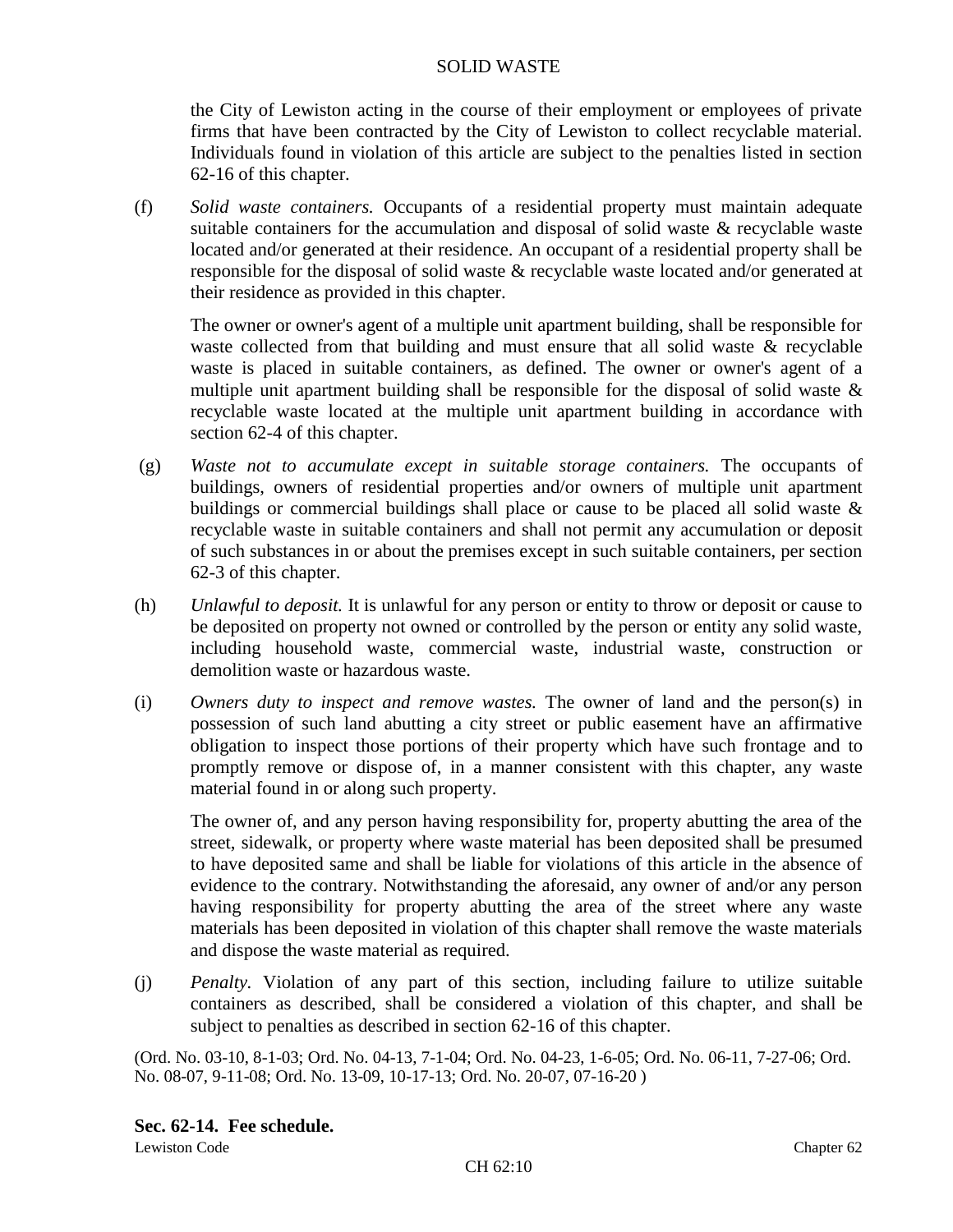the City of Lewiston acting in the course of their employment or employees of private firms that have been contracted by the City of Lewiston to collect recyclable material. Individuals found in violation of this article are subject to the penalties listed in section 62-16 of this chapter.

(f) *Solid waste containers.* Occupants of a residential property must maintain adequate suitable containers for the accumulation and disposal of solid waste & recyclable waste located and/or generated at their residence. An occupant of a residential property shall be responsible for the disposal of solid waste & recyclable waste located and/or generated at their residence as provided in this chapter.

The owner or owner's agent of a multiple unit apartment building, shall be responsible for waste collected from that building and must ensure that all solid waste & recyclable waste is placed in suitable containers, as defined. The owner or owner's agent of a multiple unit apartment building shall be responsible for the disposal of solid waste  $\&$ recyclable waste located at the multiple unit apartment building in accordance with section 62-4 of this chapter.

- (g) *Waste not to accumulate except in suitable storage containers.* The occupants of buildings, owners of residential properties and/or owners of multiple unit apartment buildings or commercial buildings shall place or cause to be placed all solid waste & recyclable waste in suitable containers and shall not permit any accumulation or deposit of such substances in or about the premises except in such suitable containers, per section 62-3 of this chapter.
- (h) *Unlawful to deposit.* It is unlawful for any person or entity to throw or deposit or cause to be deposited on property not owned or controlled by the person or entity any solid waste, including household waste, commercial waste, industrial waste, construction or demolition waste or hazardous waste.
- (i) *Owners duty to inspect and remove wastes.* The owner of land and the person(s) in possession of such land abutting a city street or public easement have an affirmative obligation to inspect those portions of their property which have such frontage and to promptly remove or dispose of, in a manner consistent with this chapter, any waste material found in or along such property.

The owner of, and any person having responsibility for, property abutting the area of the street, sidewalk, or property where waste material has been deposited shall be presumed to have deposited same and shall be liable for violations of this article in the absence of evidence to the contrary. Notwithstanding the aforesaid, any owner of and/or any person having responsibility for property abutting the area of the street where any waste materials has been deposited in violation of this chapter shall remove the waste materials and dispose the waste material as required.

(j) *Penalty.* Violation of any part of this section, including failure to utilize suitable containers as described, shall be considered a violation of this chapter, and shall be subject to penalties as described in section 62-16 of this chapter.

(Ord. No. 03-10, 8-1-03; Ord. No. 04-13, 7-1-04; Ord. No. 04-23, 1-6-05; Ord. No. 06-11, 7-27-06; Ord. No. 08-07, 9-11-08; Ord. No. 13-09, 10-17-13; Ord. No. 20-07, 07-16-20 )

# **Sec. 62-14. Fee schedule.**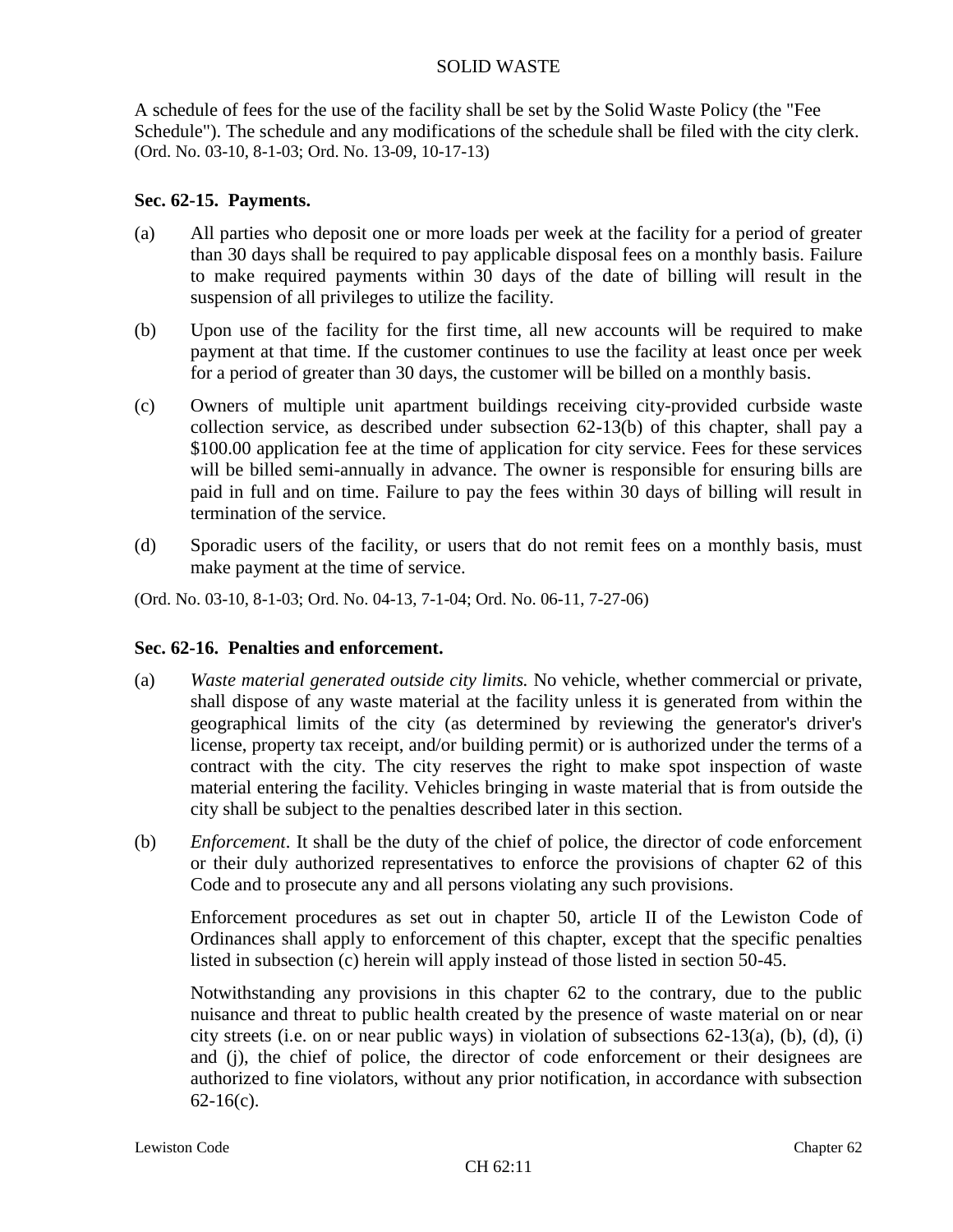A schedule of fees for the use of the facility shall be set by the Solid Waste Policy (the "Fee Schedule"). The schedule and any modifications of the schedule shall be filed with the city clerk. (Ord. No. 03-10, 8-1-03; Ord. No. 13-09, 10-17-13)

# **Sec. 62-15. Payments.**

- (a) All parties who deposit one or more loads per week at the facility for a period of greater than 30 days shall be required to pay applicable disposal fees on a monthly basis. Failure to make required payments within 30 days of the date of billing will result in the suspension of all privileges to utilize the facility.
- (b) Upon use of the facility for the first time, all new accounts will be required to make payment at that time. If the customer continues to use the facility at least once per week for a period of greater than 30 days, the customer will be billed on a monthly basis.
- (c) Owners of multiple unit apartment buildings receiving city-provided curbside waste collection service, as described under subsection 62-13(b) of this chapter, shall pay a \$100.00 application fee at the time of application for city service. Fees for these services will be billed semi-annually in advance. The owner is responsible for ensuring bills are paid in full and on time. Failure to pay the fees within 30 days of billing will result in termination of the service.
- (d) Sporadic users of the facility, or users that do not remit fees on a monthly basis, must make payment at the time of service.

(Ord. No. 03-10, 8-1-03; Ord. No. 04-13, 7-1-04; Ord. No. 06-11, 7-27-06)

# **Sec. 62-16. Penalties and enforcement.**

- (a) *Waste material generated outside city limits.* No vehicle, whether commercial or private, shall dispose of any waste material at the facility unless it is generated from within the geographical limits of the city (as determined by reviewing the generator's driver's license, property tax receipt, and/or building permit) or is authorized under the terms of a contract with the city. The city reserves the right to make spot inspection of waste material entering the facility. Vehicles bringing in waste material that is from outside the city shall be subject to the penalties described later in this section.
- (b) *Enforcement*. It shall be the duty of the chief of police, the director of code enforcement or their duly authorized representatives to enforce the provisions of chapter 62 of this Code and to prosecute any and all persons violating any such provisions.

Enforcement procedures as set out in chapter 50, article II of the Lewiston Code of Ordinances shall apply to enforcement of this chapter, except that the specific penalties listed in subsection (c) herein will apply instead of those listed in section 50-45.

Notwithstanding any provisions in this chapter 62 to the contrary, due to the public nuisance and threat to public health created by the presence of waste material on or near city streets (i.e. on or near public ways) in violation of subsections  $62-13(a)$ , (b), (d), (i) and (j), the chief of police, the director of code enforcement or their designees are authorized to fine violators, without any prior notification, in accordance with subsection 62-16(c).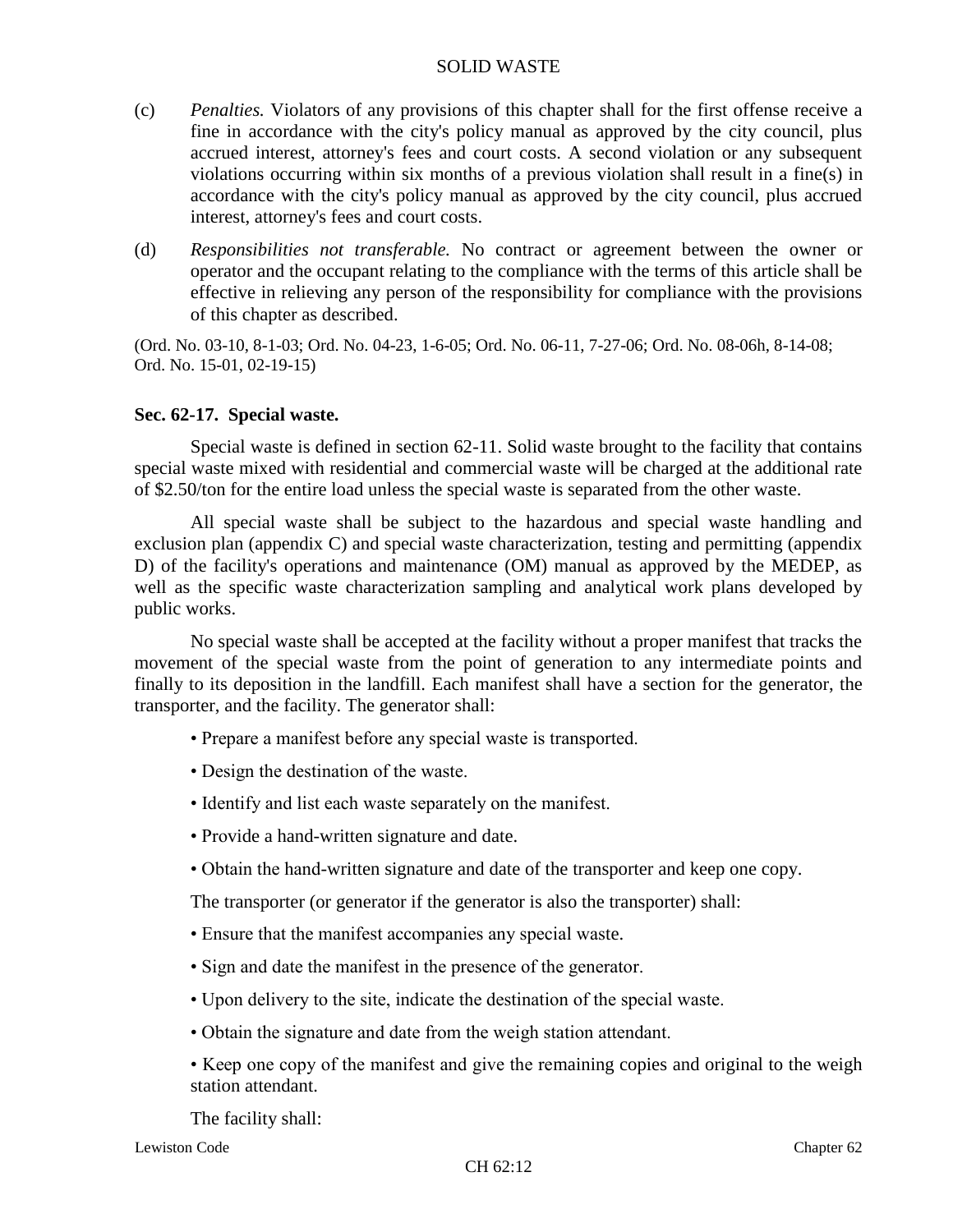- (c) *Penalties.* Violators of any provisions of this chapter shall for the first offense receive a fine in accordance with the city's policy manual as approved by the city council, plus accrued interest, attorney's fees and court costs. A second violation or any subsequent violations occurring within six months of a previous violation shall result in a fine(s) in accordance with the city's policy manual as approved by the city council, plus accrued interest, attorney's fees and court costs.
- (d) *Responsibilities not transferable.* No contract or agreement between the owner or operator and the occupant relating to the compliance with the terms of this article shall be effective in relieving any person of the responsibility for compliance with the provisions of this chapter as described.

(Ord. No. 03-10, 8-1-03; Ord. No. 04-23, 1-6-05; Ord. No. 06-11, 7-27-06; Ord. No. 08-06h, 8-14-08; Ord. No. 15-01, 02-19-15)

### **Sec. 62-17. Special waste.**

Special waste is defined in section 62-11. Solid waste brought to the facility that contains special waste mixed with residential and commercial waste will be charged at the additional rate of \$2.50/ton for the entire load unless the special waste is separated from the other waste.

All special waste shall be subject to the hazardous and special waste handling and exclusion plan (appendix C) and special waste characterization, testing and permitting (appendix D) of the facility's operations and maintenance (OM) manual as approved by the MEDEP, as well as the specific waste characterization sampling and analytical work plans developed by public works.

No special waste shall be accepted at the facility without a proper manifest that tracks the movement of the special waste from the point of generation to any intermediate points and finally to its deposition in the landfill. Each manifest shall have a section for the generator, the transporter, and the facility. The generator shall:

- Prepare a manifest before any special waste is transported.
- Design the destination of the waste.
- Identify and list each waste separately on the manifest.
- Provide a hand-written signature and date.
- Obtain the hand-written signature and date of the transporter and keep one copy.

The transporter (or generator if the generator is also the transporter) shall:

- Ensure that the manifest accompanies any special waste.
- Sign and date the manifest in the presence of the generator.
- Upon delivery to the site, indicate the destination of the special waste.
- Obtain the signature and date from the weigh station attendant.
- Keep one copy of the manifest and give the remaining copies and original to the weigh station attendant.

The facility shall: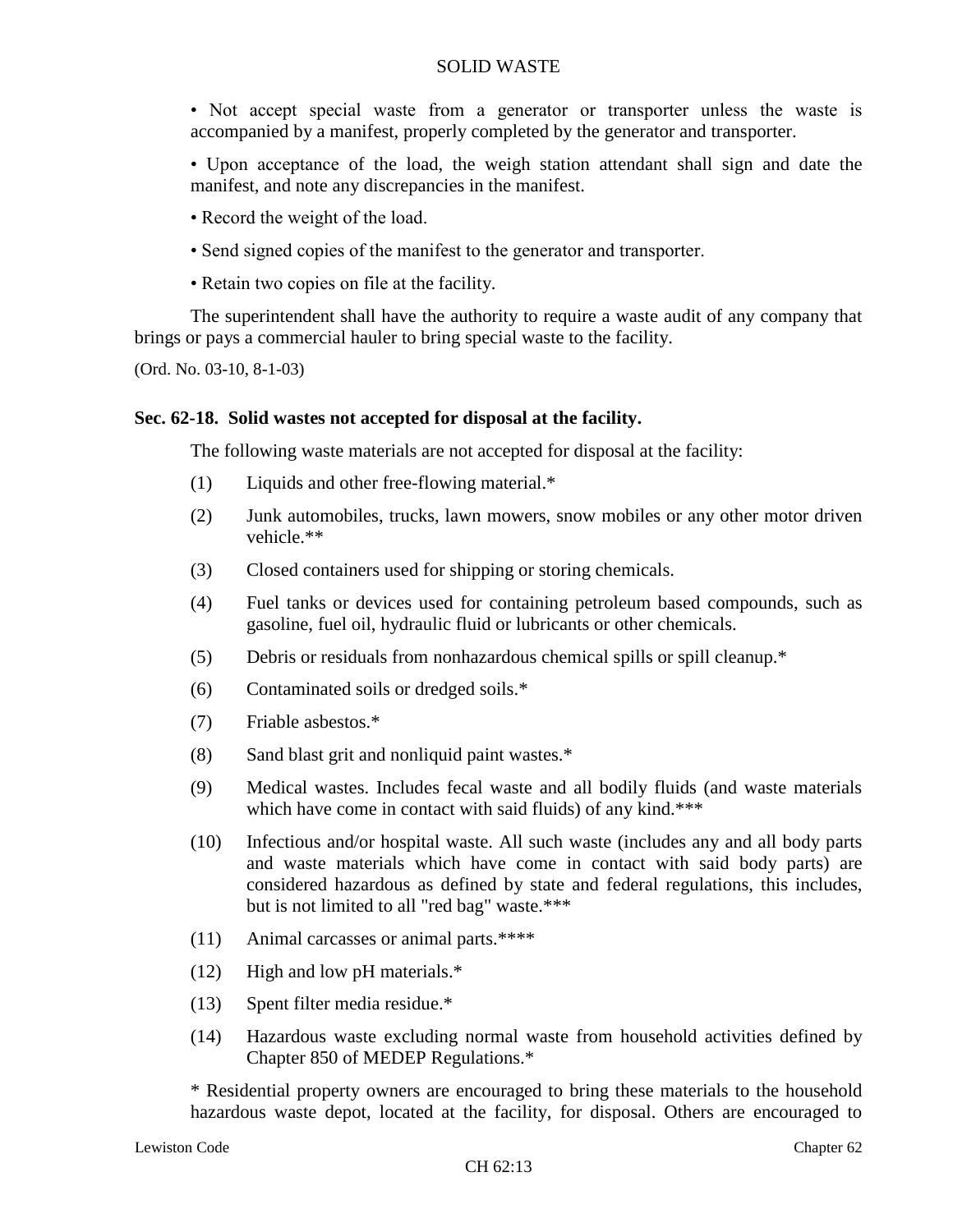- Not accept special waste from a generator or transporter unless the waste is accompanied by a manifest, properly completed by the generator and transporter.
- Upon acceptance of the load, the weigh station attendant shall sign and date the manifest, and note any discrepancies in the manifest.
- Record the weight of the load.
- Send signed copies of the manifest to the generator and transporter.
- Retain two copies on file at the facility.

The superintendent shall have the authority to require a waste audit of any company that brings or pays a commercial hauler to bring special waste to the facility.

(Ord. No. 03-10, 8-1-03)

## **Sec. 62-18. Solid wastes not accepted for disposal at the facility.**

The following waste materials are not accepted for disposal at the facility:

- (1) Liquids and other free-flowing material.\*
- (2) Junk automobiles, trucks, lawn mowers, snow mobiles or any other motor driven vehicle.\*\*
- (3) Closed containers used for shipping or storing chemicals.
- (4) Fuel tanks or devices used for containing petroleum based compounds, such as gasoline, fuel oil, hydraulic fluid or lubricants or other chemicals.
- (5) Debris or residuals from nonhazardous chemical spills or spill cleanup.\*
- (6) Contaminated soils or dredged soils.\*
- (7) Friable asbestos.\*
- (8) Sand blast grit and nonliquid paint wastes.\*
- (9) Medical wastes. Includes fecal waste and all bodily fluids (and waste materials which have come in contact with said fluids) of any kind.\*\*\*
- (10) Infectious and/or hospital waste. All such waste (includes any and all body parts and waste materials which have come in contact with said body parts) are considered hazardous as defined by state and federal regulations, this includes, but is not limited to all "red bag" waste.\*\*\*
- (11) Animal carcasses or animal parts.\*\*\*\*
- (12) High and low pH materials.\*
- (13) Spent filter media residue.\*
- (14) Hazardous waste excluding normal waste from household activities defined by Chapter 850 of MEDEP Regulations.\*

\* Residential property owners are encouraged to bring these materials to the household hazardous waste depot, located at the facility, for disposal. Others are encouraged to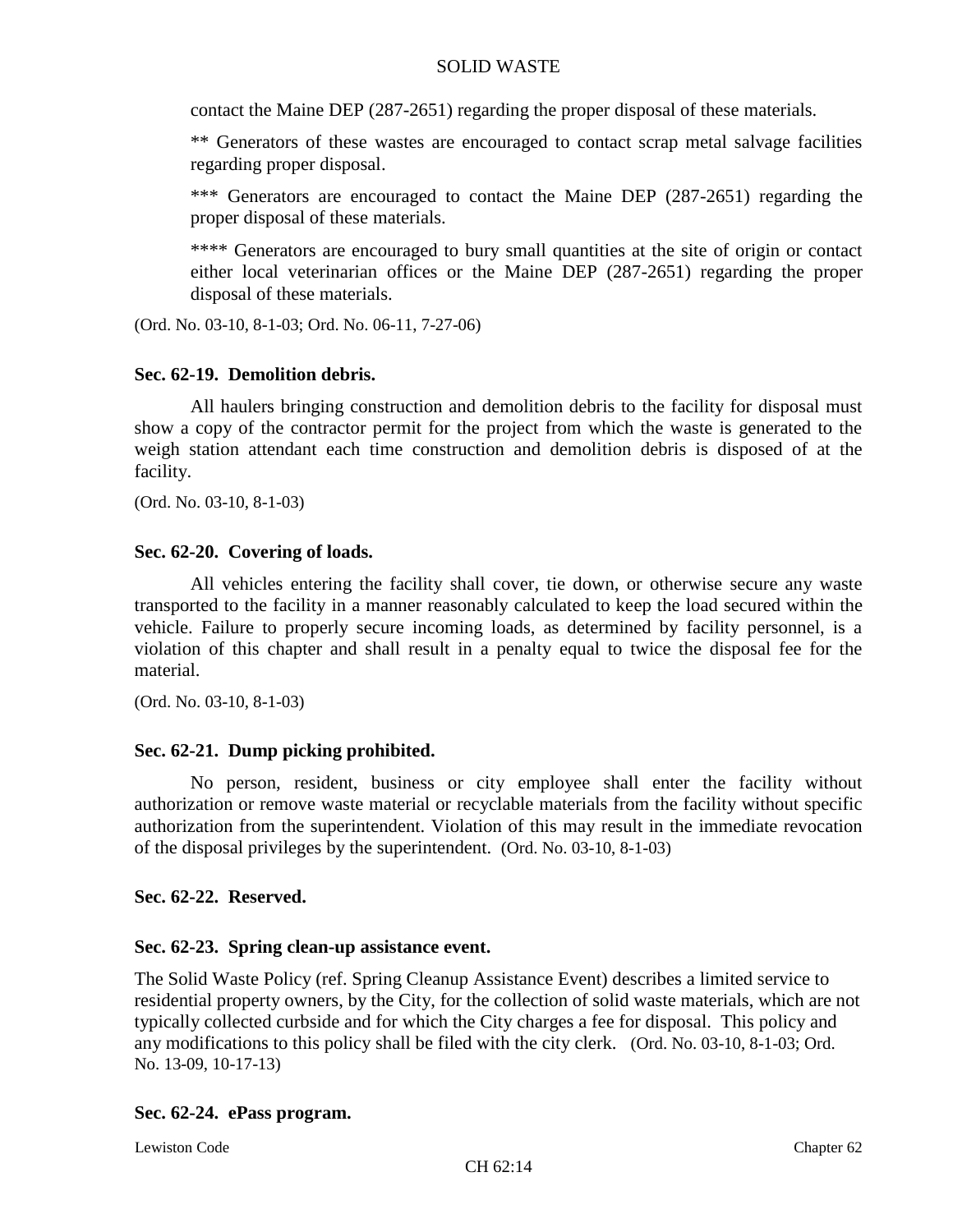contact the Maine DEP (287-2651) regarding the proper disposal of these materials.

\*\* Generators of these wastes are encouraged to contact scrap metal salvage facilities regarding proper disposal.

\*\*\* Generators are encouraged to contact the Maine DEP (287-2651) regarding the proper disposal of these materials.

\*\*\*\* Generators are encouraged to bury small quantities at the site of origin or contact either local veterinarian offices or the Maine DEP (287-2651) regarding the proper disposal of these materials.

(Ord. No. 03-10, 8-1-03; Ord. No. 06-11, 7-27-06)

# **Sec. 62-19. Demolition debris.**

All haulers bringing construction and demolition debris to the facility for disposal must show a copy of the contractor permit for the project from which the waste is generated to the weigh station attendant each time construction and demolition debris is disposed of at the facility.

(Ord. No. 03-10, 8-1-03)

# **Sec. 62-20. Covering of loads.**

All vehicles entering the facility shall cover, tie down, or otherwise secure any waste transported to the facility in a manner reasonably calculated to keep the load secured within the vehicle. Failure to properly secure incoming loads, as determined by facility personnel, is a violation of this chapter and shall result in a penalty equal to twice the disposal fee for the material.

(Ord. No. 03-10, 8-1-03)

# **Sec. 62-21. Dump picking prohibited.**

No person, resident, business or city employee shall enter the facility without authorization or remove waste material or recyclable materials from the facility without specific authorization from the superintendent. Violation of this may result in the immediate revocation of the disposal privileges by the superintendent. (Ord. No. 03-10, 8-1-03)

# **Sec. 62-22. Reserved.**

# **Sec. 62-23. Spring clean-up assistance event.**

The Solid Waste Policy (ref. Spring Cleanup Assistance Event) describes a limited service to residential property owners, by the City, for the collection of solid waste materials, which are not typically collected curbside and for which the City charges a fee for disposal. This policy and any modifications to this policy shall be filed with the city clerk. (Ord. No. 03-10, 8-1-03; Ord. No. 13-09, 10-17-13)

# **Sec. 62-24. ePass program.**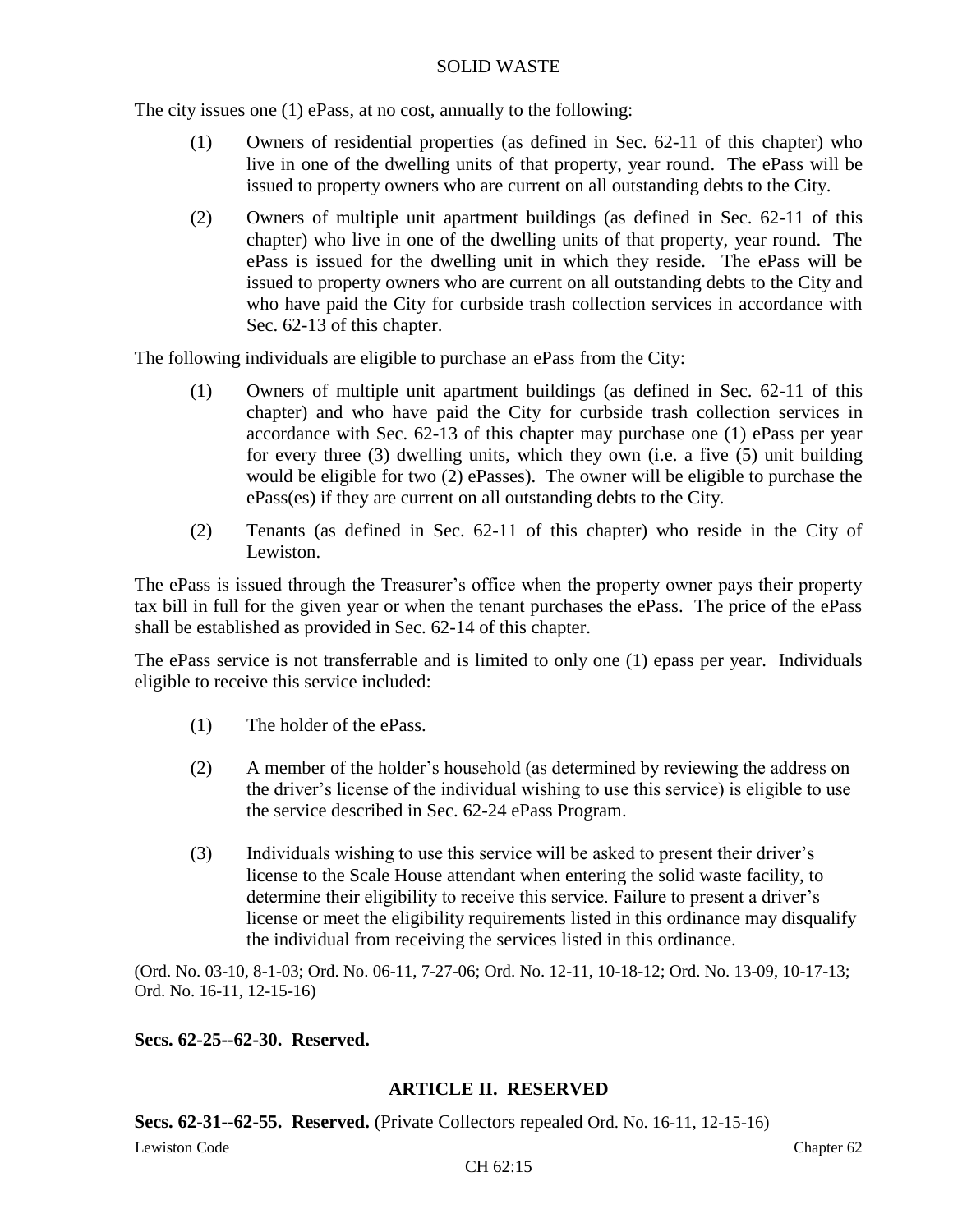The city issues one (1) ePass, at no cost, annually to the following:

- (1) Owners of residential properties (as defined in Sec. 62-11 of this chapter) who live in one of the dwelling units of that property, year round. The ePass will be issued to property owners who are current on all outstanding debts to the City.
- (2) Owners of multiple unit apartment buildings (as defined in Sec. 62-11 of this chapter) who live in one of the dwelling units of that property, year round. The ePass is issued for the dwelling unit in which they reside. The ePass will be issued to property owners who are current on all outstanding debts to the City and who have paid the City for curbside trash collection services in accordance with Sec. 62-13 of this chapter.

The following individuals are eligible to purchase an ePass from the City:

- (1) Owners of multiple unit apartment buildings (as defined in Sec. 62-11 of this chapter) and who have paid the City for curbside trash collection services in accordance with Sec. 62-13 of this chapter may purchase one (1) ePass per year for every three (3) dwelling units, which they own (i.e. a five (5) unit building would be eligible for two (2) ePasses). The owner will be eligible to purchase the ePass(es) if they are current on all outstanding debts to the City.
- (2) Tenants (as defined in Sec. 62-11 of this chapter) who reside in the City of Lewiston.

The ePass is issued through the Treasurer's office when the property owner pays their property tax bill in full for the given year or when the tenant purchases the ePass. The price of the ePass shall be established as provided in Sec. 62-14 of this chapter.

The ePass service is not transferrable and is limited to only one (1) epass per year. Individuals eligible to receive this service included:

- (1) The holder of the ePass.
- (2) A member of the holder's household (as determined by reviewing the address on the driver's license of the individual wishing to use this service) is eligible to use the service described in Sec. 62-24 ePass Program.
- (3) Individuals wishing to use this service will be asked to present their driver's license to the Scale House attendant when entering the solid waste facility, to determine their eligibility to receive this service. Failure to present a driver's license or meet the eligibility requirements listed in this ordinance may disqualify the individual from receiving the services listed in this ordinance.

(Ord. No. 03-10, 8-1-03; Ord. No. 06-11, 7-27-06; Ord. No. 12-11, 10-18-12; Ord. No. 13-09, 10-17-13; Ord. No. 16-11, 12-15-16)

# **Secs. 62-25--62-30. Reserved.**

# **ARTICLE II. RESERVED**

**Secs. 62-31--62-55. Reserved.** (Private Collectors repealed Ord. No. 16-11, 12-15-16)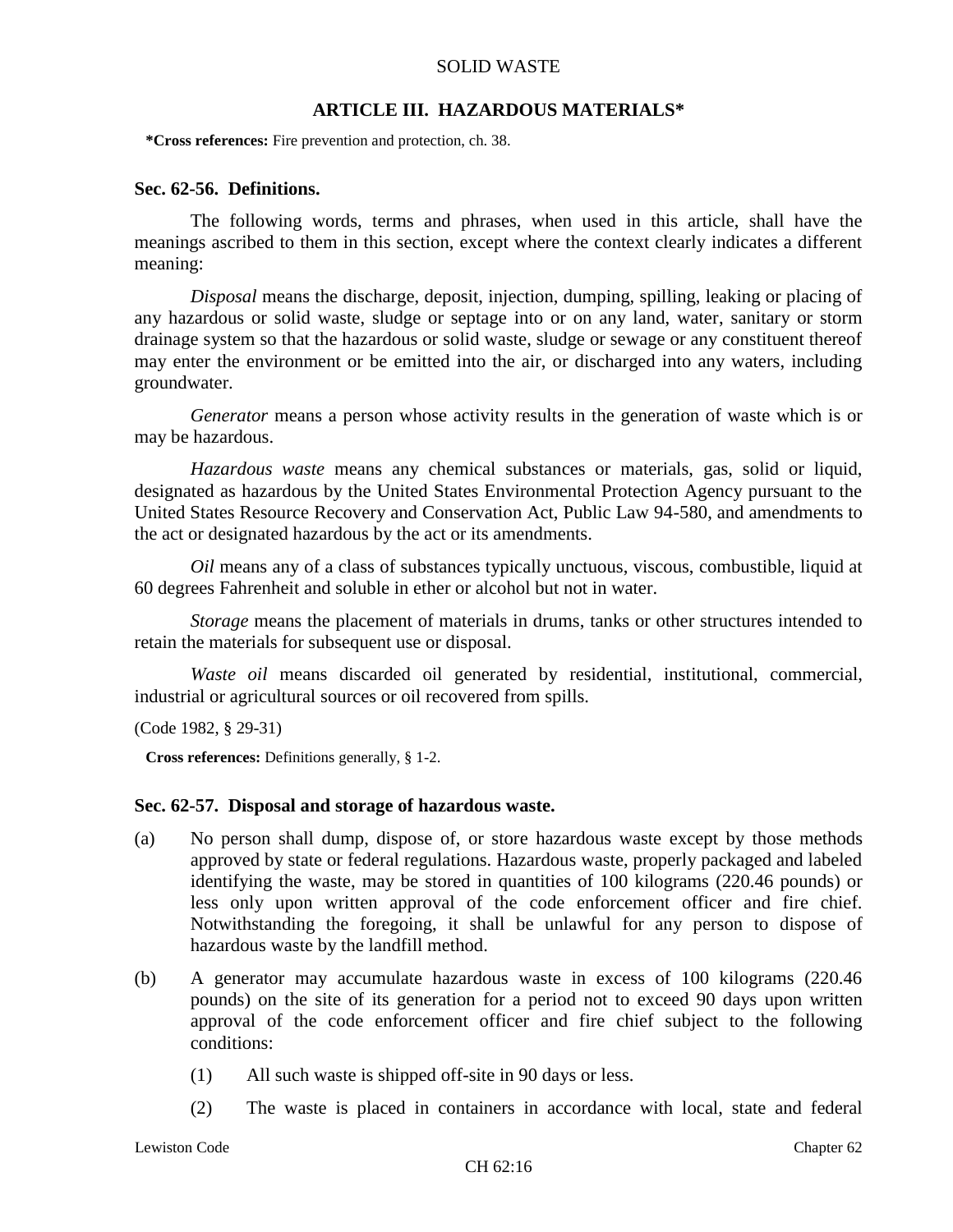## **ARTICLE III. HAZARDOUS MATERIALS\***

**\*Cross references:** Fire prevention and protection, ch. 38.

## **Sec. 62-56. Definitions.**

The following words, terms and phrases, when used in this article, shall have the meanings ascribed to them in this section, except where the context clearly indicates a different meaning:

*Disposal* means the discharge, deposit, injection, dumping, spilling, leaking or placing of any hazardous or solid waste, sludge or septage into or on any land, water, sanitary or storm drainage system so that the hazardous or solid waste, sludge or sewage or any constituent thereof may enter the environment or be emitted into the air, or discharged into any waters, including groundwater.

*Generator* means a person whose activity results in the generation of waste which is or may be hazardous.

*Hazardous waste* means any chemical substances or materials, gas, solid or liquid, designated as hazardous by the United States Environmental Protection Agency pursuant to the United States Resource Recovery and Conservation Act, Public Law 94-580, and amendments to the act or designated hazardous by the act or its amendments.

*Oil* means any of a class of substances typically unctuous, viscous, combustible, liquid at 60 degrees Fahrenheit and soluble in ether or alcohol but not in water.

*Storage* means the placement of materials in drums, tanks or other structures intended to retain the materials for subsequent use or disposal.

*Waste oil* means discarded oil generated by residential, institutional, commercial, industrial or agricultural sources or oil recovered from spills.

(Code 1982, § 29-31)

**Cross references:** Definitions generally, § 1-2.

### **Sec. 62-57. Disposal and storage of hazardous waste.**

- (a) No person shall dump, dispose of, or store hazardous waste except by those methods approved by state or federal regulations. Hazardous waste, properly packaged and labeled identifying the waste, may be stored in quantities of 100 kilograms (220.46 pounds) or less only upon written approval of the code enforcement officer and fire chief. Notwithstanding the foregoing, it shall be unlawful for any person to dispose of hazardous waste by the landfill method.
- (b) A generator may accumulate hazardous waste in excess of 100 kilograms (220.46 pounds) on the site of its generation for a period not to exceed 90 days upon written approval of the code enforcement officer and fire chief subject to the following conditions:
	- (1) All such waste is shipped off-site in 90 days or less.
	- (2) The waste is placed in containers in accordance with local, state and federal